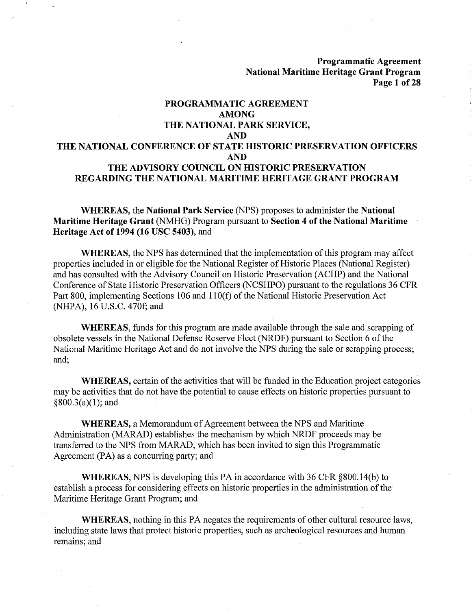**Programmatic Agreement National Maritime Heritage Grant Program Page 1 of28** 

## **PROGRAMMATIC AGREEMENT AMONG THE NATIONAL PARK SERVICE, AND THE NATIONAL CONFERENCE OF STATE HISTORIC PRESERVATION OFFICERS AND THE ADVISORY COUNCIL ON HISTORIC PRESERVATION REGARDING THE NATIONAL MARITIME HERITAGE GRANT PROGRAM**

**WHEREAS,** the **National Park Service** (NPS) proposes to administer the **National Maritime Heritage Grant** (NMHG) Program pursuant to **Section 4 of the National Maritime Heritage Act of 1994 (16 USC 5403),** and

**WHEREAS,** the NPS has determined that the implementation of this program may affect properties included in or eligible for the National Register of Historic Places (National Register) and has consulted with the Advisory Council on Historic Preservation (ACHP) and the National Conference of State Historic Preservation Officers (NCSHPO) pursuant to the regulations 36 CFR Part 800, implementing Sections 106 and 110(f) of the National Historic Preservation Act (NHPA), 16 U.S.C. 470f; and

**WHEREAS,** funds for this program are made available through the sale and scrapping of obsolete vessels in the National Defense Reserve Fleet (NRDF) pursuant to Section 6 of the National Maritime Heritage Act and do not involve the NPS during the sale or scrapping process; and;

**WHEREAS,** certain of the activities that will be funded in the Education project categories may be activities that do not have the potential to cause effects on historic properties pursuant to  $§800.3(a)(1);$  and

**WHEREAS,** a Memorandum of Agreement between the NPS and Maritime Administration (MARAD) establishes the mechanism by which NRDF proceeds may be transferred to the NPS from MARAD, which has been invited to sign this Programmatic Agreement (PA) as a concurring party; and

**WHEREAS,** NPS is developing this PA in accordance with 36 CFR §800.14(b) to establish a process for considering effects on historic properties in the administration of the Maritime Heritage Grant Program; and

**WHEREAS,** nothing in this PA negates the requirements of other cultural resource laws, including state laws that protect historic properties, such as archeological resources and human remains; and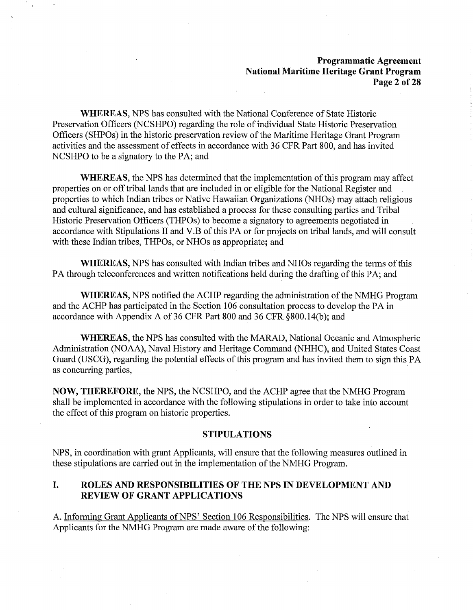### **Programmatic Agreement National Maritime Heritage Grant Program Page 2 of28**

**WHEREAS,** NPS has consulted with the National Conference of State Historic Preservation Officers (NCSHPO) regarding the role of individual State Historic Preservation Officers (SHPOs) in the historic preservation review of the Maritime Heritage Grant Program activities and the assessment of effects in accordance with 36 CPR Part 800, and has invited NCSHPO to be a signatory to the PA; and

**WHEREAS,** the NPS has determined that the implementation of this program may affect properties on or off tribal lands that are included in or eligible for the National Register and properties to which Indian tribes or Native Hawaiian Organizations (NHOs) may attach religious and cultural significance, and has established a process for these consulting parties and Tribal Historic Preservation Officers (THPOs) to become a signatory to agreements negotiated in accordance with Stipulations II and V.B of this PA or for projects on tribal lands, and will consult with these Indian tribes, THPOs, or NHOs as appropriate; and

**WHEREAS,** NPS has consulted with Indian tribes and NHOs regarding the terms of this PA through teleconferences and written notifications held during the drafting of this PA; and

**WHEREAS,** NPS notified the ACHP regarding the administration of the NMHG Program and the ACHP has participated in the Section 106 consultation process to develop the PA in accordance with Appendix A of 36 CPR Part 800 and 36 CPR §800.14(b); and

**WHEREAS,** the NPS has consulted with the MARAD, National Oceanic and Atmospheric Administration (NOAA), Naval History and Heritage Command (NHHC), and United States Coast Guard (USCG), regarding the potential effects of this program and has invited them to sign this PA as concurring parties,

**NOW, THEREFORE,** the NPS, the NCSHPO, and the ACHP agree that the NMHG Program shall be implemented in accordance with the following stipulations in order to take into account the effect of this program on historic properties.

### **STIPULATIONS**

NPS, in coordination with grant Applicants, will ensure that the following measures outlined in these stipulations are carried out in the implementation of the NMHG Program.

### **I. ROLES AND RESPONSIBILITIES OF THE NPS IN DEVELOPMENT AND REVIEW OF GRANT APPLICATIONS**

A. Informing Grant Applicants of NPS' Section 106 Responsibilities. The NPS will ensure that Applicants for the NMHG Program are made aware of the following: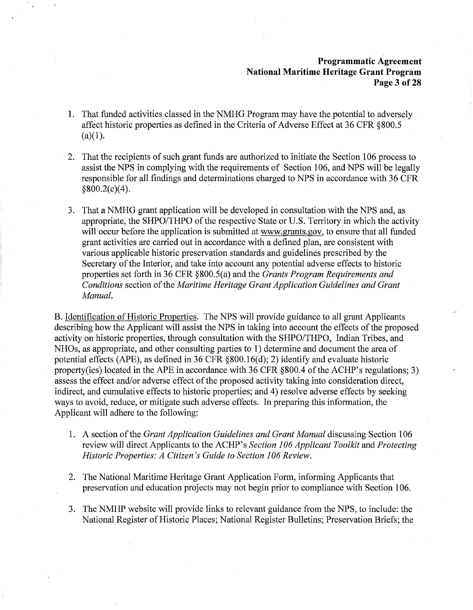### **Programmatic Agreement National Maritime Heritage Grant Program Page 3 of28**

- **1.** That funded activities classed in the NMHG Program may have the potential to adversely affect historic properties as defined in the Criteria of Adverse Effect at 36 CFR §800.5  $(a)(1)$ .
- 2. That the recipients of such grant funds are authorized to initiate the Section 106 process to assist the NPS in complying with the requirements of Section 106, and NPS will be legally responsible for all findings and determinations charged to NPS in accordance with 36 CFR  $§800.2(c)(4).$
- 3. That a NMHG grant application will be developed in consultation with the NPS and, as appropriate, the SHPO/THPO of the respective State or U.S. Territory in which the activity will occur before the application is submitted at www.grants.gov, to ensure that all funded grant activities are carried out in accordance with a defined plan, are consistent with various applicable historic preservation standards and guidelines prescribed by the Secretary of the Interior, and take into account any potential adverse effects to historic properties set forth in 36 CFR §800.S(a) and the *Grants Program Requirements and Conditions* section of the *Maritime Heritage Grant Application Guidelines and Grant Manual.*

B. Identification of Historic Properties. The NPS will provide guidance to all grant Applicants describing how the Applicant will assist the NPS in taking into account the effects of the proposed activity on historic properties, through consultation with the SHPO/THPO, Indian Tribes, and NHOs, as appropriate, and other consulting parties to 1) determine and document the area of potential effects (APE), as defined in 36 CFR §800.16(d); 2) identify and evaluate historic property(ies) located in the APE in accordance with 36 CFR §800.4 of the ACHP's regulations; 3) assess the effect and/or adverse effect of the proposed activity taking into consideration direct, indirect, and cumulative effects to historic properties; and 4) resolve adverse effects by seeking ways to avoid, reduce, or mitigate such adverse effects. In preparing this information, the Applicant will adhere to the following:

- 1. A section of the *Grant Application Guidelines and Grant Manual* discussing Section 106 review will direct Applicants to. the ACHP' s *Section 106 Applicant Toolkit* and *Protecting Historic Properties: A Citizen's Guide to Section 106 Review.*
- 2. The National Maritime Heritage Grant Application Form, informing Applicants that preservation and education projects may not begin prior to compliance with Section 106.
- 3. The NMHP website will provide links to relevant guidance from the NPS, to include: the National Register of Historic Places; National Register Bulletins; Preservation Briefs; the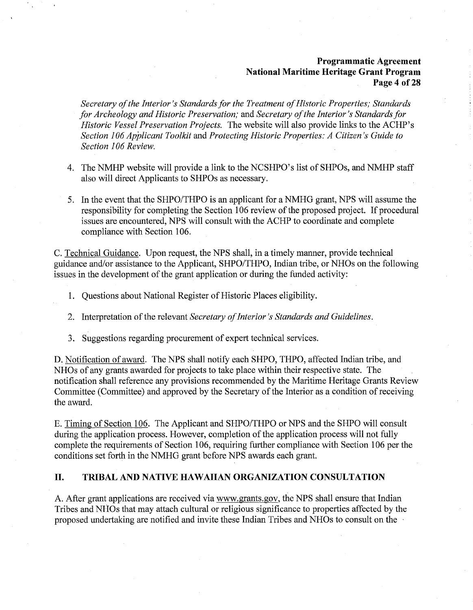## **Programmatic Agreement National Maritime Heritage Grant Program Page 4 of 28**

*Secretary of the Interior's Standards for the Treatment of Historic Properties; Standards for Archeology and Historic Preservation;* and *Secretary of the Interior's Standards for Historic Vessel Preservation Projects.* The website will also provide links to the ACHP's *Section 106 Applicant Toolkit* and *Protecting Historic Properties: A Citizen's Guide to Section 106 Review.* 

- 4. The NMHP website will provide a link to the NCSHPO's list of SHPOs, and NMHP staff also will direct Applicants to SHPOs as necessary.
- 5. In the event that the SHPO/THPO is an applicant for a NMHG grant, NPS will assume the responsibility for completing the Section 106 review of the proposed project. If procedural issues are encountered, NPS will consult with the ACHP to coordinate and complete compliance with Section 106.

C. Technical Guidance. Upon request, the NPS shall, in a timely manner, provide technical guidance and/or assistance to the Applicant, SHPO/THPO, Indian tribe, or NHOs on the following issues in the development of the grant application or during the funded activity:

- 1. Questions about National Register of Historic Places eligibility.
- 2. Interpretation of the relevant *Secretary of Interior's Standards and Guidelines.*
- 3. Suggestions regarding procurement of expert technical services.

D. Notification of award. The NPS shall notify each SHPO, THPO, affected Indian tribe, and NHOs of any grants awarded for projects to take place within their respective state. The notification shall reference any provisions recommended by the Maritime Heritage Grants Review Committee (Committee) and approved by the Secretary of the Interior as a condition of receiving the award.

E. Timing of Section 106. The Applicant and SHPO/THPO or NPS and the SHPO will consult during the application process. However, completion of the application process will not fully complete the requirements of Section 106, requiring further compliance with Section 106 per the conditions set forth in the NMHG grant before NPS awards each grant.

### **II. TRIBAL AND NATIVE HAWAIIAN ORGANIZATION CONSULTATION**

A. After grant applications are received via www.grants.gov, the NPS shall ensure that Indian Tribes and NHOs that may attach cultural or religious significance to properties affected by the proposed undertaking are notified and invite these Indian Tribes and NHOs to consult on the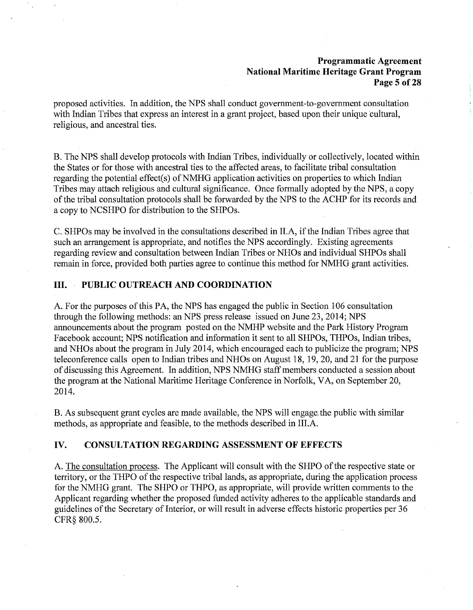### **Programmatic Agreement National Maritime Heritage Grant Program Page 5 of28**

proposed activities. In addition, the NPS shall conduct government-to-government consultation with Indian Tribes that express an interest in a grant project, based upon their unique cultural, religious, and ancestral ties.

B. The NPS shall develop protocols with Indian Tribes, individually or collectively, located within the States or for those with ancestral ties to the affected areas, to facilitate tribal consultation regarding the potential effect(s) of NMHG application activities on properties to which Indian Tribes may attach religious and cultural significance. Once formally adopted by the NPS, a copy of the tribal consultation protocols shall be forwarded by the NPS to the ACHP for its records and a copy to NCSHPO for distribution to the SHPOs.

C. SHPOs may be involved in the consultations described in II.A, if the Indian Tribes agree that such an arrangement is appropriate, and notifies the NPS accordingly. Existing agreements regarding review and consultation between Indian Tribes or NH Os and individual SHPOs shall remain in force, provided both parties agree to continue this method for NMHG grant activities.

## **III. PUBLIC OUTREACH AND COORDINATION**

A. For the purposes of this PA, the NPS has engaged the public in Section 106 consultation through the following methods: an NPS press release issued on June 23, 2014; NPS announcements about the program posted on the NMHP website and the Park History Program Facebook account; NPS notification and information it sent to all SHPOs, THPOs, Indian tribes, and NHOs about the program in July 2014, which encouraged each to publicize the program; NPS teleconference calls open to Indian tribes and NHOs on August 18, 19, 20, and 21 for the purpose of discussing this Agreement. In addition, NPS NMHG staff members conducted a session about the program at the National Maritime Heritage Conference in Norfolk, VA, on September 20, 2014.

B. As subsequent grant cycles are made available, the NPS will engage. the public with similar methods, as appropriate and feasible, to the methods described in III.A.

### **IV. CONSULTATION REGARDING ASSESSMENT OF EFFECTS**

A. The consultation process. The Applicant will consult with the SHPO of the respective state or territory, or the THPO of the respective tribal lands, as appropriate, during the application process for the NMHG grant. The SHPO or THPO, as appropriate, will provide written comments to the Applicant regarding whether the proposed funded activity adheres to the applicable standards and guidelines of the Secretary of Interior, or will result in adverse effects historic properties per 36 CFR§ 800.5.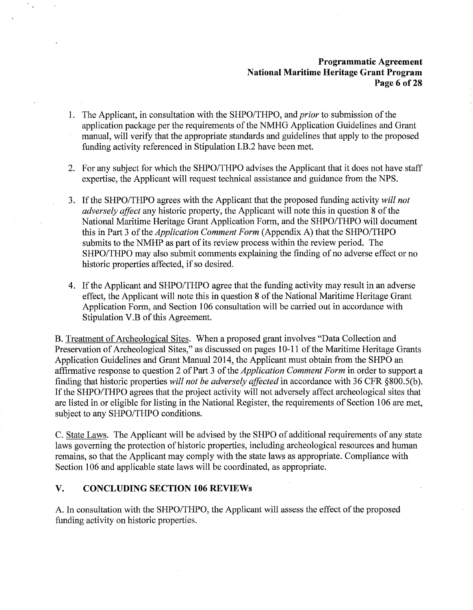## **Programmatic Agreement National Maritime Heritage Grant Program Page 6 of28**

- 1. The Applicant, in consultation with the SHPO/THPO, and *prior* to submission of the application package per the requirements of the NMHG Application Guidelines and Grant manual, will verify that the appropriate standards and guidelines that apply to the proposed funding activity referenced in Stipulation I.B.2 have been met.
- 2. For any subject for which the SHPO/THPO advises the Applicant that it does not have staff expertise, the Applicant will request technical assistance and guidance from the NPS.
- 3. If the SHPO/THPO agrees with the Applicant that the proposed funding activity *will not adversely affect* any historic property, the Applicant will note this in question 8 of the National Maritime Heritage Grant Application Form, and the SHPO/THPO will document this in Part 3 of the *Application Comment Form* (Appendix A) that the SHPO/THPO submits to the NMHP as part of its review process within the review period. The SHPO/THPO may also submit comments explaining the finding of no adverse effect or no historic properties affected, if so desired.
- 4. If the Applicant and SHPO/THPO agree that the funding activity may result in an adverse effect, the Applicant will note this in question 8 of the National Maritime Heritage Grant Application Form, and Section 106 consultation will be carried out in accordance with Stipulation V.B of this Agreement.

B. Treatment of Archeological Sites. When a proposed grant involves "Data Collection and Preservation of Archeological Sites," as discussed on pages 10-11 of the Maritime Heritage Grants Application Guidelines and Grant Manual 2014, the Applicant must obtain from the SHPO an affirmative response to question 2 of Part 3 of the *Application Comment Form* in order to support a finding that historic properties *will not be adversely affected* in accordance with 36 CFR §800.S(b). If the SHPO/THPO agrees that the project activity will not adversely affect archeological sites that are listed in or eligible for listing in the National Register, the requirements of Section 106 are met, subject to any SHPO/THPO conditions.

C. State Laws. The Applicant will be advised by the SHPO of additional requirements of any state laws governing the protection of historic properties, including archeological resources and human remains, so that the Applicant may comply with the state laws as appropriate. Compliance with Section 106 and applicable state laws will be coordinated, as appropriate.

### **V. CONCLUDING SECTION 106 REVIEWs**

A. In consultation with the SHPO/THPO, the Applicant will assess the effect of the proposed funding activity on historic properties.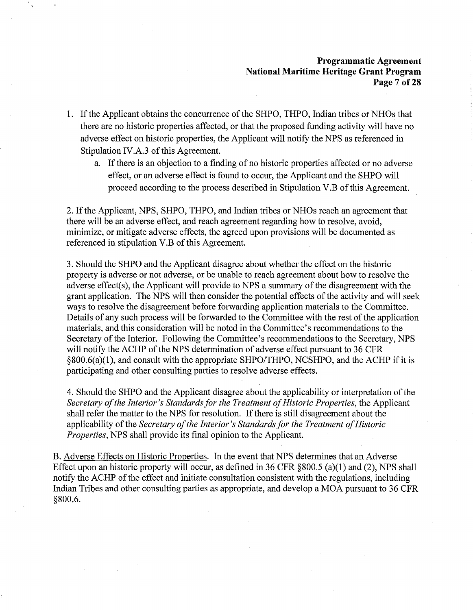### **Programmatic Agreement National Maritime Heritage Grant Program Page 7 of28**

- 1. If the Applicant obtains the concurrence of the SHPO, THPO, Indian tribes or NHOs that there are no historic properties affected, or that the proposed funding activity will have no adverse effect on historic properties, the Applicant will notify the NPS as referenced in Stipulation IV .A.3 of this Agreement.
	- a. If there is an objection to a finding of no historic properties affected or no adverse effect, or an adverse effect is found to occur, the Applicant and the SHPO will proceed according to the process described in Stipulation V .B of this Agreement.

2. lfthe Applicant, NPS, SHPO, THPO, and Indian tribes or NHOs reach an agreement that there will be an adverse effect, and reach agreement regarding how to resolve, avoid, minimize, or mitigate adverse effects, the agreed upon provisions will be documented as referenced in stipulation V.B of this Agreement.

3. Should the SHPO and the Applicant disagree about whether the effect on the historic property is adverse or not adverse, or be unable to reach agreement about how to resolve the adverse effect(s), the Applicant will provide to NPS a summary of the disagreement with the grant application. The NPS will then consider the potential effects of the activity and will seek ways to resolve the disagreement before forwarding application materials to the Committee. Details of any such process will be forwarded to the Committee with the rest of the application materials, and this consideration will be noted in the Committee's recommendations to the Secretary of the Interior. Following the Committee's recommendations to the Secretary, NPS will notify the ACHP of the NPS determination of adverse effect pursuant to 36 CFR §800.6(a)(l), and consult with the appropriate SHPO/THPO, NCSHPO, and the ACHP if it is participating and other consulting parties to resolve adverse effects.

4. Should the SHPO and the Applicant disagree about the applicability or interpretation of the *Secretary of the Interior's Standards for the Treatment of Historic Properties, the Applicant* shall refer the matter to the NPS for resolution. If there is still disagreement about the applicability of the *Secretary of the Interior's Standards for the Treatment of Historic Properties,* NPS shall provide its final opinion to the Applicant.

B. Adverse Effects on Historic Properties. In the event that NPS determines that an Adverse Effect upon an historic property will occur, as defined in 36 CFR §800.5 (a)(l) and (2), NPS shall notify the ACHP of the effect and initiate consultation consistent with the regulations, including Indian Tribes and other consulting parties as appropriate, and develop a MOA pursuant to 36 CFR §800.6.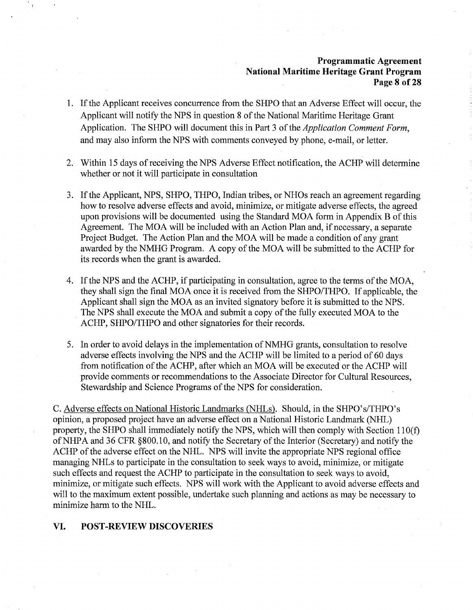## **Programmatic Agreement National Maritime Heritage Grant Program Page 8 of28**

- 1. If the Applicant receives concurrence from the SHPO that an Adverse Effect will occur, the Applicant will notify the NPS in question 8 of the National Maritime Heritage Grant Application. The SHPO will document this in Part 3 of the *Application Comment Form,*  and may also inform the NPS with comments conveyed by phone, e-mail, or letter.
- 2. Within 15 days of receiving the NPS Adverse Effect notification, the ACHP will determine whether or not it will participate in consultation
- 3. If the Applicant, NPS, SHPO, THPO, Indian tribes, or NHOs reach an agreement regarding how to resolve adverse effects and avoid, minimize, or mitigate adverse effects, the agreed upon provisions will be documented using the Standard MOA form in Appendix B of this Agreement. The MOA will be included with an Action Plan and, if necessary, a separate Project Budget. The Action Plan and the MOA will be made a condition of any grant awarded by the NMHG Program. A copy of the MOA will be submitted to the ACHP for its records when the grant is awarded.
- 4. If the NPS and the ACHP, if participating in consultation, agree to the terms of the MOA, they shall sign the final MOA once it is received from the SHPO/THPO. If applicable, the Applicant shall sign the MOA as an invited signatory before it is submitted to the NPS. The NPS shall execute the MOA and submit a copy of the fully executed MOA to the ACHP, SHPO/THPO and other signatories for their records.
- 5. In order to avoid delays in the implementation of NMHG grants, consultation to resolve adverse effects involving the NPS and the ACHP will be limited to a period of 60 days from notification of the ACHP, after which an MOA will be executed or the ACHP will provide comments or recommendations to the Associate Director for Cultural Resources, Stewardship and Science Programs of the NPS for consideration.

C. Adverse effects on National Historic Landmarks (NHLs). Should, in the SHPO's/THPO's opinion, a proposed project have an adverse effect on a National Historic Landmark (NHL) property, the SHPO shall immediately notify the NPS, which will then comply with Section 110(f) ofNHPA and 36 CFR §800.10, and notify the Secretary of the Interior (Secretary) and notify the ACHP of the adverse effect on the NHL. NPS will invite the appropriate NPS regional office managing NHLs to participate in the consultation to seek ways to avoid, minimize, or mitigate such effects and request the ACHP to participate in the consultation to seek ways to avoid, minimize, or mitigate such effects. NPS will work with the Applicant to avoid adverse effects and will to the maximum extent possible, undertake such planning and actions as may be necessary to minimize harm to the NHL.

### **VI. POST-REVIEW DISCOVERIES**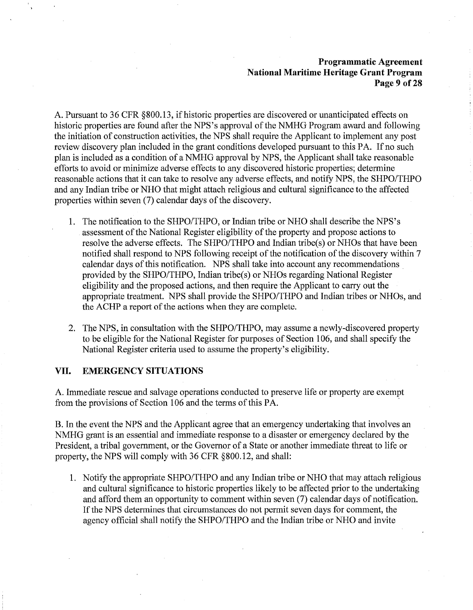## **Programmatic Agreement National Maritime Heritage Grant Program Page 9 of28**

A. Pursuant to 36 CFR §800.13, if historic properties are discovered or unanticipated effects on historic properties are found after the NPS's approval of the NMHG Program award and following the initiation of construction activities, the NPS shall require the Applicant to implement any post review discovery plan included in the grant conditions developed pursuant to this PA. If no such plan is included as a condition of a NMHG approval by NPS, the Applicant shall take reasonable efforts to avoid or minimize adverse effects to any discovered historic properties; determine reasonable actions that it can take to resolve any adverse effects, and notify NPS, the SHPO/THPO and any Indian tribe or NHO that might attach religious and cultural significance to the affected properties within seven (7) calendar days of the discovery.

- **1.** The notification to the SHPO/THPO, or Indian tribe or NHO shall describe the NPS's assessment of the National Register eligibility of the property and propose actions to resolve the adverse effects. The SHPO/THPO and Indian tribe(s) or NHOs that have been notified shall respond to NPS following receipt of the notification of the discovery within 7 calendar days of this notification. NPS shall take into account any recommendations . provided by the SHPO/THPO, Indian tribe(s) or NHOs regarding National Register eligibility and the proposed actions, and then require the Applicant to carry out the appropriate treatment. NPS shall provide the SHPO/THPO and Indian tribes or NHOs, and the ACHP a report of the actions when they are complete.
- 2. The NPS, in consultation with the SHPO/THPO, may assume a newly-discovered property to be eligible for the National Register for purposes of Section 106, and shall specify the National Register criteria used to assume the property's eligibility.

#### **VII. EMERGENCY SITUATIONS**

A. Immediate rescue and salvage operations conducted to preserve life or property are exempt from the provisions of Section 106 and the terms of this PA. ·

B. In the event the NPS and the Applicant agree that an emergency undertaking that involves an NMHG grant is an essential and immediate response to a disaster or emergency declared by the President, a tribal government, or the Governor of a State or another immediate threat to life or property, the NPS will comply with 36 CFR §800.12, and shall:

1. Notify the appropriate SHPO/THPO and any Indian tribe or NHO that may attach religious and cultural significance to historic properties likely to be affected prior to the undertaking and afford them an opportunity to comment within seven (7) calendar days of notification. If the NPS determines that circumstances do not permit seven days for comment, the agency official shall notify the SHPO/THPO and the Indian tribe or NHO and invite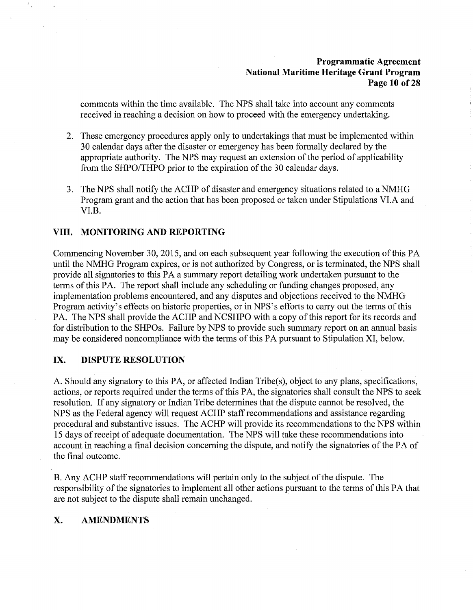## **Programmatic Agreement National Maritime Heritage Grant Program Page 10 of28**

comments within the time available. The NPS shall take into account any comments received in reaching a decision on how to proceed with the emergency undertaking.

- 2. These emergency procedures apply only to undertakings that must be implemented within 30 calendar days after the disaster or emergency has been formally declared by the appropriate authority. The NPS may request an extension of the period of applicability from the SHPO/THPO prior to the expiration of the 30 calendar days.
- 3. The NPS shall notify the ACHP of disaster and emergency situations related to a NMHG Program grant and the action that has been proposed or taken under Stipulations VI.A and VI.B.

## **VIII. MONITORING AND REPORTING**

Commencing November 30, 2015, and on each subsequent year following the execution of this PA until the NMHG Program expires, or is not authorized by Congress, or is terminated, the NPS shall provide all signatories to this PA a summary report detailing work undertaken pursuant to the terms of this PA. The report shall include any scheduling or funding changes proposed, any implementation problems encountered, and any disputes and objections received to the NMHG Program activity's effects on historic properties, or in NPS's efforts to carry out the terms of this PA. The NPS shall provide the ACHP and NCSHPO with a copy of this report for its records and for distribution to the SHPOs. Failure by NPS to provide such summary report on an annual basis may be considered noncompliance with the terms of this PA pursuant to Stipulation XI, below.

### **IX. DISPUTE RESOLUTION**

A. Should any signatory to this PA, or affected Indian Tribe(s), object to any plans, specifications, actions, or reports required under the terms of this PA, the signatories shall consult the NPS to seek resolution. If any signatory or Indian Tribe determines that the dispute cannot be resolved, the NPS as the Federal agency will request ACHP staff recommendations and assistance regarding procedural and substantive issues. The ACHP will provide its recommendations to the NPS within 15 days of receipt of adequate documentation. The NPS will take these recommendations into account in reaching a final decision concerning the dispute, and notify the signatories of the PA of the final outcome.

B. Any ACHP staff recommendations will pertain only to the subject of the dispute. The responsibility of the signatories to implement all other actions pursuant to the terms of this PA that are not subject to the dispute shall remain unchanged.

## **X. AMENDMENTS**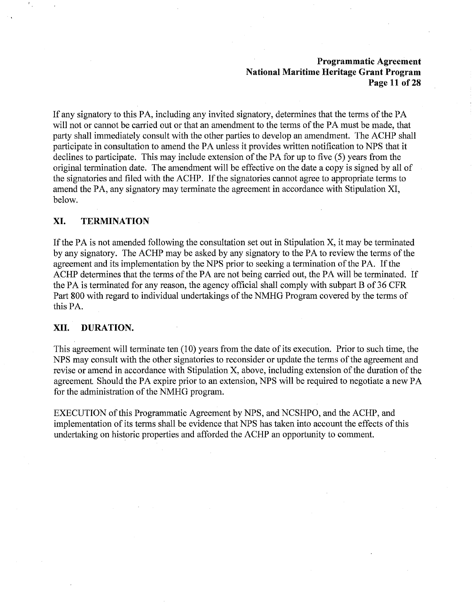### **Programmatic Agreement National Maritime Heritage Grant Program Page 11 of28**

If any signatory to this PA, including any invited signatory, determines that the terms of the PA will not or cannot be carried out or that an amendment to the terms of the PA must be made, that party shall immediately consult with the other parties to develop an amendment. The ACHP shall participate in consultation to amend the PA unless it provides written notification to NPS that it declines to participate. This may include extension of the PA for up to five (5) years from the original termination date. The amendment will be effective on the date a copy is signed by all of the signatories and filed with the ACHP. If the signatories cannot agree to appropriate terms to amend the PA, any signatory may terminate the agreement in accordance with Stipulation XI, below.

### **XI. TERMINATION**

If the PA is not amended following the consultation set out in Stipulation X, it may be terminated by any signatory. The ACHP may be asked by any signatory to the PA to review the terms of the agreement and its implementation by the NPS prior to seeking a termination of the PA. If the ACHP determines that the terms of the PA are not being carried out, the PA will be terminated. If the PA is terminated for any reason, the agency official shall comply with subpart B of 36 CFR Part 800 with regard to individual undertakings of the NMHG Program covered by the terms of this PA.

### **XII. DURATION.**

This agreement will terminate ten (10) years from the date of its execution. Prior to such time, the NPS may consult with the other signatories to reconsider or update the terms of the agreement and revise or amend in accordance with Stipulation X, above, including extension of the duration of the agreement. Should the PA expire prior to an extension, NPS will be required to negotiate a new PA for the administration of the NMHG program.

EXECUTION of this Programmatic Agreement by NPS, and NCSHPO, and the ACHP, and implementation of its terms shall be evidence that NPS has taken into account the effects of this undertaking on historic properties and afforded the ACHP an opportunity to comment.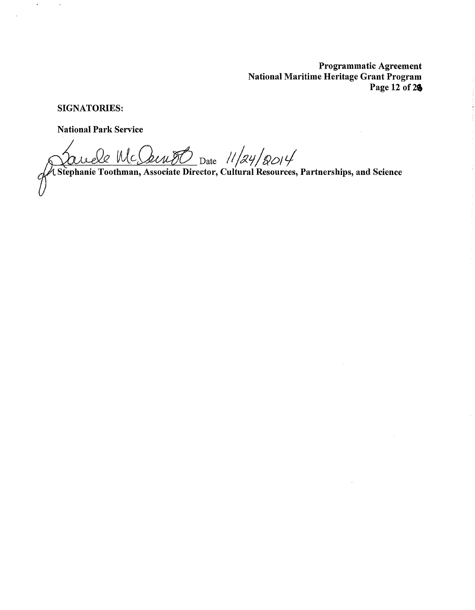Programmatic Agreement National Maritime Heritage Grant Program Page 12 of  $26$ 

SIGNATORIES:

 $\mathbf{r}$ 

National Park Service

 $\frac{2 \text{ } \text{Mc}\text{.} \text{Lip} \text{D}}{2 \text{ } \text{D}}$  Date  $\frac{11}{24}/2014$ 

Stephanie Toothman, Associate Director, Cultural Resources, Partnerships, and Science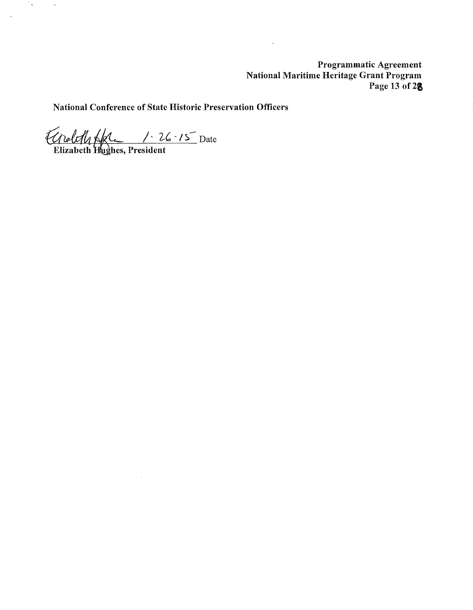Programmatic Agreement National Maritime Heritage Grant Program Page 13 of 28

 $\ddot{\phantom{0}}$ 

National Conference of State Historic Preservation Officers

Croloff Skl 1.26.15 Date

 $\sim$ 

 $\mathcal{I}_{\mathcal{A}}$ 

 $\Delta$ 

 $\sim 10^{11}$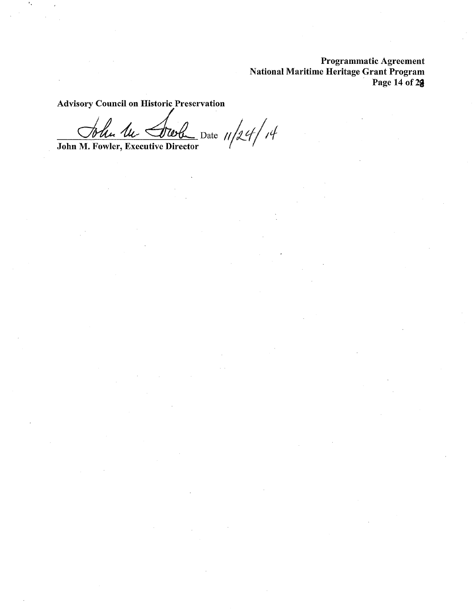Programmatic Agreement National Maritime Heritage Grant Program Page 14 of 2<sup>9</sup>

Advisory Council on Historic Preservation

John M. Fowler, Executive Director *1/24/14*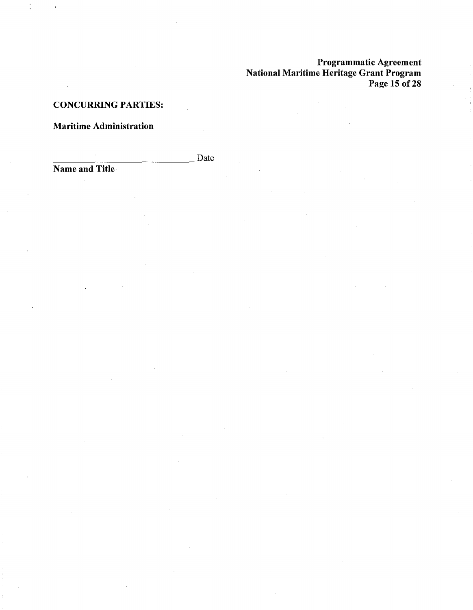Programmatic Agreement National Maritime Heritage Grant Program Page 15 of 28

## CONCURRING PARTIES:

# Maritime Administration

-------------- Name and Title Date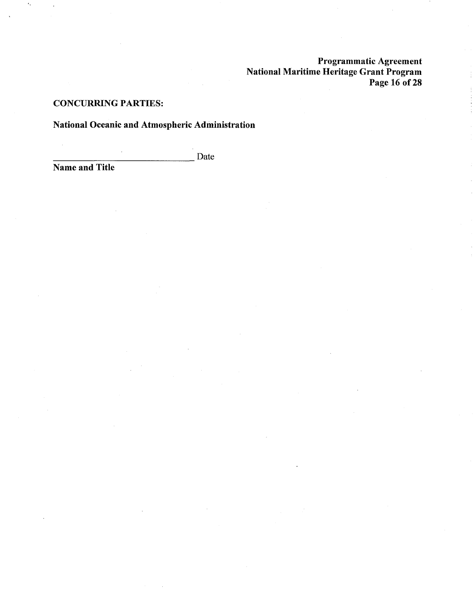Programmatic Agreement National Maritime Heritage Grant Program Page 16 of 28

## CONCURRING PARTIES:

# National Oceanic and Atmospheric Administration

Name and Title Date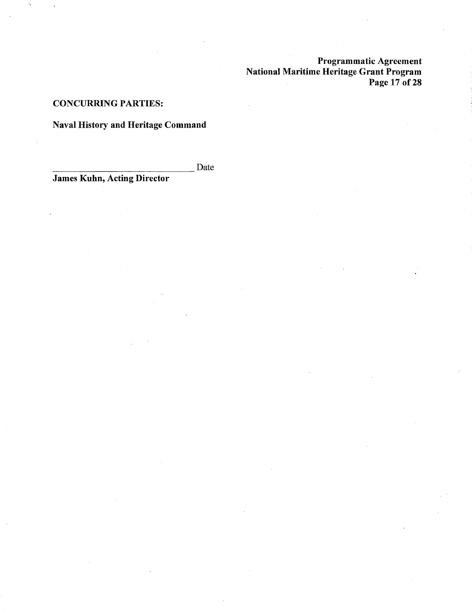Programmatic Agreement National Maritime Heritage Grant Program Page 17 of 28

## CONCURRING PARTIES:

# Naval History and Heritage Command

James Kuhn, Acting Director<br>
Date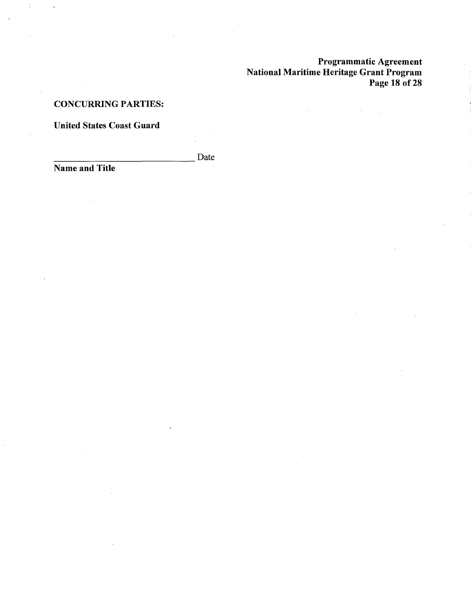Programmatic Agreement National Maritime Heritage Grant Program Page 18 of 28

## CONCURRING PARTIES:

## United States Coast Guard

Date

Name and Title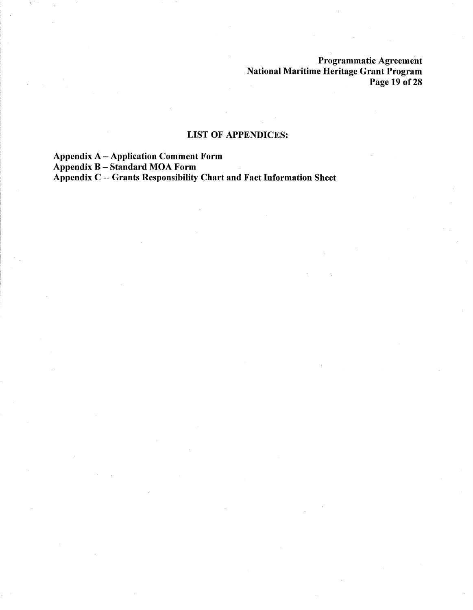Programmatic Agreement National Maritime Heritage Grant Program Page 19 of 28

# LIST OF APPENDICES:

Appendix A - Application Comment Form

Appendix B - Standard MOA Form

Appendix C -- Grants Responsibility Chart and Fact Information Sheet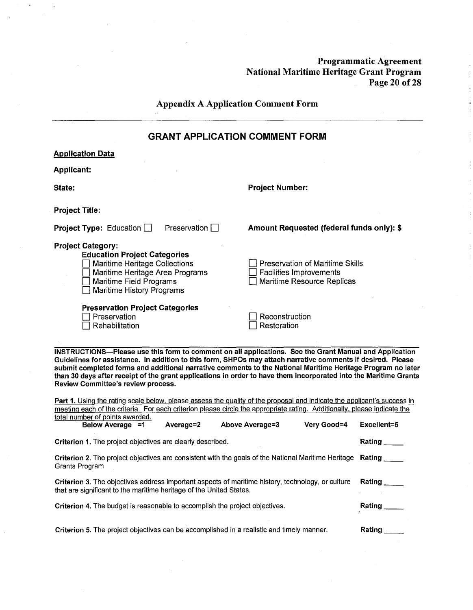**Programmatic Agreement National Maritime Heritage Grant Program Page 20 of28** 

 $\mathcal{L}_{\mathcal{A}}$ 

| <b>Appendix A Application Comment Form</b>                                                                                                                                                                                                                                                                                                                                                                                                                                                                                                                                                                                |                                                                                                        |  |  |  |  |
|---------------------------------------------------------------------------------------------------------------------------------------------------------------------------------------------------------------------------------------------------------------------------------------------------------------------------------------------------------------------------------------------------------------------------------------------------------------------------------------------------------------------------------------------------------------------------------------------------------------------------|--------------------------------------------------------------------------------------------------------|--|--|--|--|
| <b>GRANT APPLICATION COMMENT FORM</b>                                                                                                                                                                                                                                                                                                                                                                                                                                                                                                                                                                                     |                                                                                                        |  |  |  |  |
| <b>Application Data</b>                                                                                                                                                                                                                                                                                                                                                                                                                                                                                                                                                                                                   |                                                                                                        |  |  |  |  |
| <b>Applicant:</b>                                                                                                                                                                                                                                                                                                                                                                                                                                                                                                                                                                                                         |                                                                                                        |  |  |  |  |
| State:                                                                                                                                                                                                                                                                                                                                                                                                                                                                                                                                                                                                                    | <b>Project Number:</b>                                                                                 |  |  |  |  |
| <b>Project Title:</b>                                                                                                                                                                                                                                                                                                                                                                                                                                                                                                                                                                                                     |                                                                                                        |  |  |  |  |
| Preservation $\Box$<br><b>Project Type:</b> Education $\Box$                                                                                                                                                                                                                                                                                                                                                                                                                                                                                                                                                              | Amount Requested (federal funds only): \$                                                              |  |  |  |  |
| <b>Project Category:</b><br><b>Education Project Categories</b><br>Maritime Heritage Collections<br>Maritime Heritage Area Programs<br>Maritime Field Programs<br><b>Maritime History Programs</b>                                                                                                                                                                                                                                                                                                                                                                                                                        | <b>Preservation of Maritime Skills</b><br><b>Facilities Improvements</b><br>Maritime Resource Replicas |  |  |  |  |
| <b>Preservation Project Categories</b><br>Preservation<br>Rehabilitation                                                                                                                                                                                                                                                                                                                                                                                                                                                                                                                                                  | Reconstruction<br>Restoration                                                                          |  |  |  |  |
| INSTRUCTIONS—Please use this form to comment on all applications. See the Grant Manual and Application<br>Guidelines for assistance. In addition to this form, SHPOs may attach narrative comments if desired. Please<br>submit completed forms and additional narrative comments to the National Maritime Heritage Program no later<br>than 30 days after receipt of the grant applications in order to have them incorporated into the Maritime Grants<br>Review Committee's review process.<br>Part 1. Using the rating scale below, please assess the quality of the proposal and indicate the applicant's success in |                                                                                                        |  |  |  |  |

 $\sim$ 

meeting each of the criteria. For each criterion please circle the appropriate rating. Additionally, please indicate the total number of points awarded.

| Below Average =1                                                    | Average=2 | Above Average=3                                                                                     | Very Good=4 | Excellent=5 |
|---------------------------------------------------------------------|-----------|-----------------------------------------------------------------------------------------------------|-------------|-------------|
| Criterion 1. The project objectives are clearly described.          |           |                                                                                                     |             | Rating      |
| Grants Program                                                      |           | Criterion 2. The project objectives are consistent with the goals of the National Maritime Heritage |             |             |
| that are significant to the maritime heritage of the United States. |           | Criterion 3. The objectives address important aspects of maritime history, technology, or culture   |             | Rating      |
|                                                                     |           | <b>Criterion 4.</b> The budget is reasonable to accomplish the project objectives.                  |             | Rating      |
|                                                                     |           | Criterion 5. The project objectives can be accomplished in a realistic and timely manner.           |             | Rating      |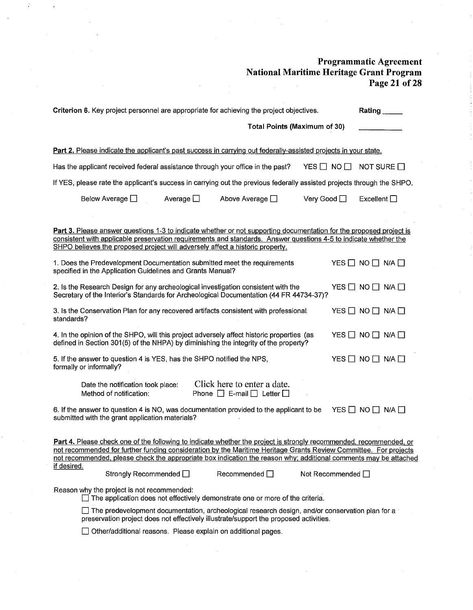#### **Programmatic Agreement National Maritime Heritage Grant Program Page 21 of 28**   $\frac{1}{2}$

|                                                                                                                                                                                                                                                                                                                          |                                                                       |                   | Criterion 6. Key project personnel are appropriate for achieving the project objectives.                                                                                                                                                                                                                                                                                               |                        | Rating                            |                    |
|--------------------------------------------------------------------------------------------------------------------------------------------------------------------------------------------------------------------------------------------------------------------------------------------------------------------------|-----------------------------------------------------------------------|-------------------|----------------------------------------------------------------------------------------------------------------------------------------------------------------------------------------------------------------------------------------------------------------------------------------------------------------------------------------------------------------------------------------|------------------------|-----------------------------------|--------------------|
|                                                                                                                                                                                                                                                                                                                          |                                                                       |                   | <b>Total Points (Maximum of 30)</b>                                                                                                                                                                                                                                                                                                                                                    |                        |                                   |                    |
|                                                                                                                                                                                                                                                                                                                          |                                                                       |                   | Part 2. Please indicate the applicant's past success in carrying out federally-assisted projects in your state.                                                                                                                                                                                                                                                                        |                        |                                   |                    |
|                                                                                                                                                                                                                                                                                                                          |                                                                       |                   | Has the applicant received federal assistance through your office in the past?                                                                                                                                                                                                                                                                                                         | YES $\Box$ NO $\Box$   |                                   | NOT SURE $\square$ |
|                                                                                                                                                                                                                                                                                                                          |                                                                       |                   | If YES, please rate the applicant's success in carrying out the previous federally assisted projects through the SHPO.                                                                                                                                                                                                                                                                 |                        |                                   |                    |
|                                                                                                                                                                                                                                                                                                                          | Below Average $\Box$                                                  | Average $\square$ | Above Average $\square$                                                                                                                                                                                                                                                                                                                                                                | Very Good □            | Excellent $\square$               |                    |
| Part 3. Please answer questions 1-3 to indicate whether or not supporting documentation for the proposed project is<br>consistent with applicable preservation requirements and standards. Answer questions 4-5 to indicate whether the<br>SHPO believes the proposed project will adversely affect a historic property. |                                                                       |                   |                                                                                                                                                                                                                                                                                                                                                                                        |                        |                                   |                    |
|                                                                                                                                                                                                                                                                                                                          | specified in the Application Guidelines and Grants Manual?            |                   | 1. Does the Predevelopment Documentation submitted meet the requirements                                                                                                                                                                                                                                                                                                               |                        | YES $\Box$ NO $\Box$ N/A $\Box$   |                    |
|                                                                                                                                                                                                                                                                                                                          |                                                                       |                   | 2. Is the Research Design for any archeological investigation consistent with the<br>Secretary of the Interior's Standards for Archeological Documentation (44 FR 44734-37)?                                                                                                                                                                                                           |                        | $YES$ $\Box$ NO $\Box$ N/A $\Box$ |                    |
| standards?                                                                                                                                                                                                                                                                                                               |                                                                       |                   | 3. Is the Conservation Plan for any recovered artifacts consistent with professional.                                                                                                                                                                                                                                                                                                  |                        | YES $\Box$ NO $\Box$ N/A $\Box$   |                    |
| 4. In the opinion of the SHPO, will this project adversely affect historic properties (as<br>YES $\Box$ NO $\Box$ N/A $\Box$<br>defined in Section 301(5) of the NHPA) by diminishing the integrity of the property?                                                                                                     |                                                                       |                   |                                                                                                                                                                                                                                                                                                                                                                                        |                        |                                   |                    |
| formally or informally?                                                                                                                                                                                                                                                                                                  | 5. If the answer to question 4 is YES, has the SHPO notified the NPS, |                   |                                                                                                                                                                                                                                                                                                                                                                                        |                        | $YES$ $\Box$ NO $\Box$ N/A $\Box$ |                    |
|                                                                                                                                                                                                                                                                                                                          | Date the notification took place:<br>Method of notification:          |                   | Click here to enter a date.<br>Phone $\Box$ E-mail $\Box$ Letter $\Box$                                                                                                                                                                                                                                                                                                                |                        |                                   |                    |
|                                                                                                                                                                                                                                                                                                                          | submitted with the grant application materials?                       |                   | 6. If the answer to question 4 is NO, was documentation provided to the applicant to be                                                                                                                                                                                                                                                                                                |                        | YES $\Box$ NO $\Box$ N/A $\Box$   |                    |
| if desired.                                                                                                                                                                                                                                                                                                              | Strongly Recommended □                                                |                   | Part 4. Please check one of the following to indicate whether the project is strongly recommended, recommended, or<br>not recommended for further funding consideration by the Maritime Heritage Grants Review Committee. For projects<br>not recommended, please check the appropriate box indication the reason why; additional comments may be attached<br>Recommended <sup>1</sup> | Not Recommended $\Box$ |                                   |                    |
| Reason why the project is not recommended:<br>$\Box$ The application does not effectively demonstrate one or more of the criteria.                                                                                                                                                                                       |                                                                       |                   |                                                                                                                                                                                                                                                                                                                                                                                        |                        |                                   |                    |
| $\Box$ The predevelopment documentation, archeological research design, and/or conservation plan for a<br>preservation project does not effectively illustrate/support the proposed activities.                                                                                                                          |                                                                       |                   |                                                                                                                                                                                                                                                                                                                                                                                        |                        |                                   |                    |
|                                                                                                                                                                                                                                                                                                                          |                                                                       |                   | Other/additional reasons. Please explain on additional pages.                                                                                                                                                                                                                                                                                                                          |                        |                                   |                    |
|                                                                                                                                                                                                                                                                                                                          |                                                                       |                   |                                                                                                                                                                                                                                                                                                                                                                                        |                        |                                   |                    |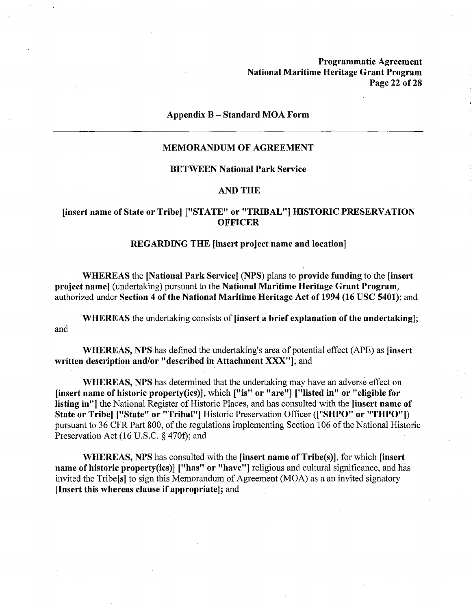**Programmatic Agreement National Maritime Heritage Grant Program Page 22 of28** 

#### **Appendix B** - **Standard MOA Form**

### **MEMORANDUM OF AGREEMENT**

#### **BETWEEN National Park Service**

#### **AND THE**

## **[insert name of State or Tribe] ["STATE" or "TRIBAL"] HISTORIC PRESERVATION OFFICER**

### **REGARDING THE [insert project name and location]**

**WHEREAS** the **[National Park Service] (NPS)** plans to **provide funding** to the **[insert project name]** (undertaking) pursuant to the **National Maritime Heritage Grant Program,**  authorized under **Section 4 of the National Maritime Heritage Act of 1994 (16 USC 5401);** and

**WHEREAS** the undertaking consists of **[insert a brief explanation of the undertaking];**  and

**WHEREAS, NPS** has defined the undertaking's area of potential effect (APE) as **[insert written description and/or "described in Attachment XXX"];** and

**WHEREAS, NPS** has determined that the undertaking may have an adverse effect on **[insert name of historic property(ies)],** which **["is" or "are"] ["listed in" or "eligible for listing in"]** the National Register of Historic Places, and has consulted with the **[insert name of State or Tribe] ["State" or "Tribal"]** Historic Preservation Officer **(["SHPO" or "THPO"])**  pursuant to 36 CFR Part 800, of the regulations implementing Section 106 of the National Historic Preservation Act (16 U.S.C.  $\S$  470f); and

**WHERE~S, NPS** has consulted with the **[insert name of Tribe(s)],** for which **[insert name of historic property(ies)] ["has" or "have"]** religious and cultural significance, and has invited the Tribe[s] to sign this Memorandum of Agreement (MOA) as a an invited signatory **[Insert this whereas clause** if **appropriate];** and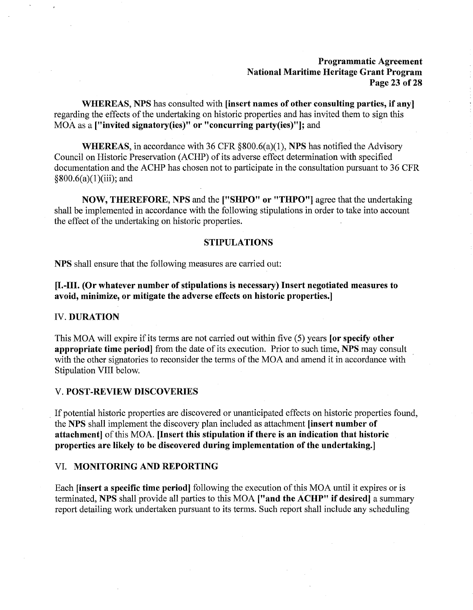### **Programmatic Agreement National Maritime Heritage Grant Program Page 23 of28**

**WHEREAS, NPS** has consulted with **[insert names of other consulting parties, if any]**  regarding the effects of the undertaking on historic properties and has invited them to sign this MOA as a **["invited signatory(ies)" or "concurring party(ies)"];** and

**WHEREAS,** in accordance with 36 CFR §800.6(a)(l), **NPS** has notified the Advisory Council on Historic Preservation (ACHP) of its adverse effect determination with specified documentation and the ACHP has chosen not to participate in the consultation pursuant to 36 CFR  $§800.6(a)(1)(iii);$  and

**NOW, THEREFORE, NPS** and the **["SHPO" or "THPO"]** agree that the undertaking shall be implemented in accordance with the following stipulations in order to take into account the effect of the undertaking on historic properties.

#### **STIPULATIONS**

**NPS** shall ensure that the following measures are carried out:

**[I.-111. (Or whatever number of stipulations is necessary) Insert negotiated measures to avoid, minimize, or mitigate the adverse effects on historic properties.]** 

#### IV. **DURATION**

This MOA will expire if its terms are not carried out within five (5) years **[or specify other appropriate time period]** from the date of its execution. Prior to such time, **NPS** may consult with the other signatories to reconsider the terms of the MOA and amend it in accordance with Stipulation VIII below.

### V. **POST-REVIEW DISCOVERIES**

. If potential historic properties are discovered or unanticipated effects on historic properties found, the **NPS** shall implement the discovery plan included as attachment **[insert number of attachment]** of this MOA. **[Insert this stipulation if there is an indication that historic properties are likely to be discovered during implementation of the undertaking.]** 

#### VI. **MONITORING AND REPORTING**

Each **[insert a specific time period]** following the execution of this MOA until it expires or is terminated, **NPS** shall provide all parties to this MOA **["and the ACHP" if desired]** a summary report detailing work undertaken pursuant to its terms. Such report shall include any scheduling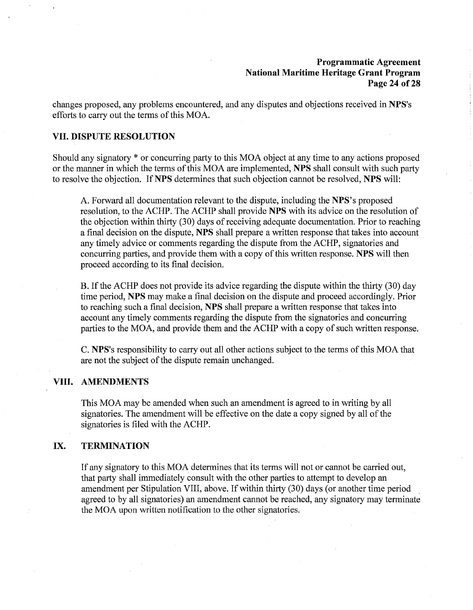### **Programmatic Agreement National Maritime Heritage Grant Program Page 24 of28**

changes proposed, any problems encountered, and any disputes and objections received in **NPS's**  efforts to carry out the terms of this MOA.

### **VII. DISPUTE RESOLUTION**

Should any signatory\* or concurring party to this MOA object at any time to any actions proposed or the manner in which the terms of this MOA are implemented, **NPS** shall consult with such party to resolve the objection. If **NPS** determines that such objection cannot be resolved, **NPS** will:

A. Forward all documentation relevant to the dispute, including the **NPS's** proposed resolution, to the ACHP. The ACHP shall provide **NPS** with its advice on the resolution of the objection within thirty (30) days of receiving adequate documentation. Prior to reaching a final decision on the dispute, **NPS** shall prepare a written response that takes into account any timely advice or comments regarding the dispute from the ACHP, signatories and concurring parties, and provide them with a copy of this written response. **NPS** will then proceed according to its final decision.

B. If the ACHP does not provide its advice regarding the dispute within the thirty (30) day time period, **NPS** may make a final decision on the dispute and proceed accordingly. Prior to reaching such a final decision, **NPS** shall prepare a written response that takes into account any timely comments regarding the dispute from the signatories and concurring parties to the MOA, and provide them and the ACHP with a copy of such written response.

C. **NPS's** responsibility to carry out all other actions subject to the terms of this MOA that are not the subject of the dispute remain unchanged.

### **VIII. AMENDMENTS**

This MOA may be amended when such an amendment is agreed to in writing by all signatories. The amendment will be effective on the date a copy signed by all of the signatories is filed with the ACHP.

## **IX. TERMINATION**

If any signatory to this MOA determines that its terms will not or cannot be carried out, that party shall immediately consult with the other parties to attempt to develop an amendment per Stipulation VIII, above. If within thirty (30) days (or another time period agreed to by all signatories) an amendment cannot be reached, any signatory may terminate the MOA upon written notification to the other signatories.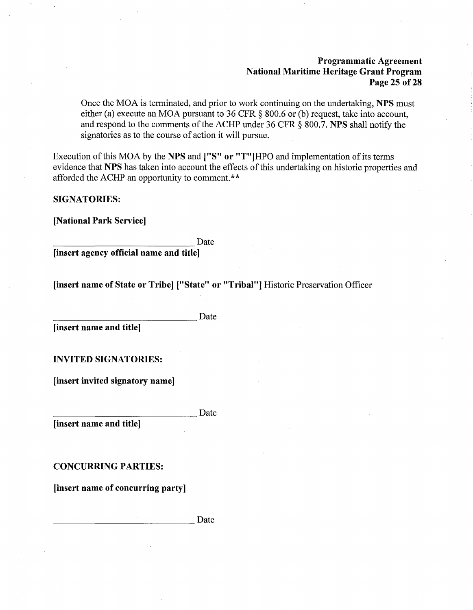### **Programmatic Agreement National Maritime Heritage Grant Program Page 25 of28**

Once the MOA is terminated, and prior to work continuing on the undertaking, **NPS** must either (a) execute an MOA pursuant to 36 CFR § 800.6 or (b) request, take into account, and respond to the comments of the ACHP under 36 CFR § 800.7. **NPS** shall notify the signatories as to the course of action it will pursue.

Execution of this MOA by the **NPS** and **["S" or** "T"]HPO and implementation of its terms evidence that **NPS** has taken into account the effects of this undertaking on historic properties and afforded the ACHP an opportunity to comment.\*\*

#### **SIGNATORIES:**

**[National Park Service]** 

Date -------------- **[insert agency official name and title]** 

**[insert name of State or Tribe] ["State" or "Tribal"]** Historic Preservation Officer

*linsert name and title]* Date

**INVITED SIGNATORIES:** 

**[insert invited signatory name]** 

*linsert name and title]* Date

**CONCURRING PARTIES:** 

**[insert name of concurring party]** 

Date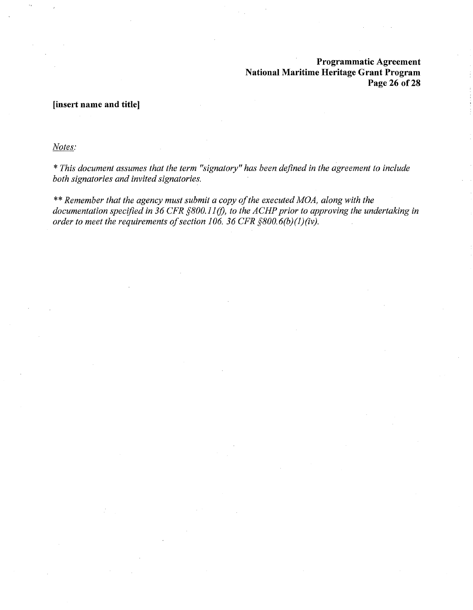## **Programmatic Agreement National Maritime Heritage Grant Program Page 26 of28**

## **[insert name and title]**

*Notes:* 

\* *This document assumes that the term "signatory" has been defined in the agreement to include both signatories and invited signatories.* 

\*\* *Remember that the agency must submit a copy of the executed MOA, along with the documentation specified in 36 CFR §800.11* (!), *to the ACHP prior to approving the undertaking in order to meet the requirements of section 106. 36 CFR §800.6(b)(l)(iv).*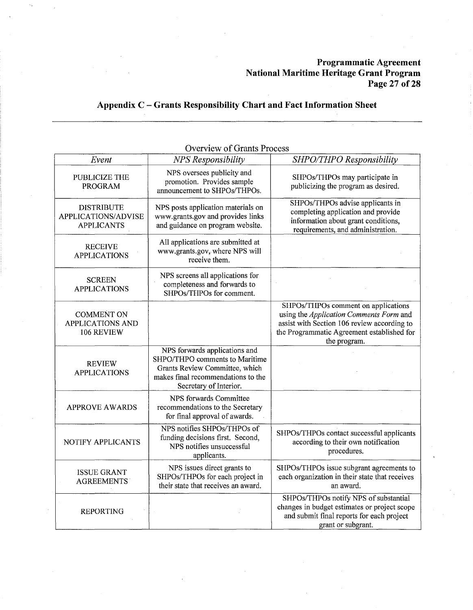## **Programmatic Agreement National Maritime Heritage Grant Program Page 27 of28**

# **Appendix C** - **Grants Responsibility Chart and Fact Information Sheet**

| Event                                                         | Overview of Grants Process<br><b>NPS</b> Responsibility                                                                                                           | SHPO/THPO Responsibility                                                                                                                                                                    |
|---------------------------------------------------------------|-------------------------------------------------------------------------------------------------------------------------------------------------------------------|---------------------------------------------------------------------------------------------------------------------------------------------------------------------------------------------|
| PUBLICIZE THE<br>PROGRAM                                      | NPS oversees publicity and<br>promotion. Provides sample<br>announcement to SHPOs/THPOs.                                                                          | SHPOs/THPOs may participate in<br>publicizing the program as desired.                                                                                                                       |
| <b>DISTRIBUTE</b><br>APPLICATIONS/ADVISE<br><b>APPLICANTS</b> | NPS posts application materials on<br>www.grants.gov and provides links<br>and guidance on program website.                                                       | SHPOs/THPOs advise applicants in<br>completing application and provide<br>information about grant conditions,<br>requirements, and administration.                                          |
| <b>RECEIVE</b><br><b>APPLICATIONS</b>                         | All applications are submitted at<br>www.grants.gov, where NPS will<br>receive them.                                                                              |                                                                                                                                                                                             |
| <b>SCREEN</b><br><b>APPLICATIONS</b>                          | NPS screens all applications for<br>completeness and forwards to<br>SHPOs/THPOs for comment.                                                                      |                                                                                                                                                                                             |
| <b>COMMENT ON</b><br><b>APPLICATIONS AND</b><br>106 REVIEW    |                                                                                                                                                                   | SHPOs/THPOs comment on applications<br>using the Application Comments Form and<br>assist with Section 106 review according to<br>the Programmatic Agreement established for<br>the program. |
| <b>REVIEW</b><br><b>APPLICATIONS</b>                          | NPS forwards applications and<br>SHPO/THPO comments to Maritime<br>Grants Review Committee, which<br>makes final recommendations to the<br>Secretary of Interior. |                                                                                                                                                                                             |
| <b>APPROVE AWARDS</b>                                         | NPS forwards Committee<br>recommendations to the Secretary<br>for final approval of awards.                                                                       |                                                                                                                                                                                             |
| NOTIFY APPLICANTS                                             | NPS notifies SHPOs/THPOs of<br>funding decisions first. Second,<br>NPS notifies unsuccessful<br>applicants.                                                       | SHPOs/THPOs contact successful applicants<br>according to their own notification<br>procedures.                                                                                             |
| <b>ISSUE GRANT</b><br><b>AGREEMENTS</b>                       | NPS issues direct grants to<br>SHPOs/THPOs for each project in<br>their state that receives an award.                                                             | SHPOs/THPOs issue subgrant agreements to<br>each organization in their state that receives<br>an award.                                                                                     |
| <b>REPORTING</b>                                              |                                                                                                                                                                   | SHPOs/THPOs notify NPS of substantial<br>changes in budget estimates or project scope<br>and submit final reports for each project<br>grant or subgrant.                                    |

Overview of Grants Process